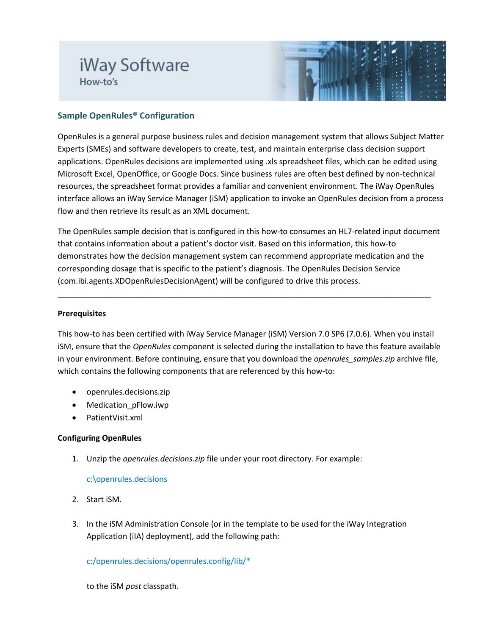# iWay Software How-to's



## **Sample OpenRules® Configuration**

OpenRules is a general purpose business rules and decision management system that allows Subject Matter Experts (SMEs) and software developers to create, test, and maintain enterprise class decision support applications. OpenRules decisions are implemented using .xls spreadsheet files, which can be edited using Microsoft Excel, OpenOffice, or Google Docs. Since business rules are often best defined by non-technical resources, the spreadsheet format provides a familiar and convenient environment. The iWay OpenRules interface allows an iWay Service Manager (iSM) application to invoke an OpenRules decision from a process flow and then retrieve its result as an XML document.

The OpenRules sample decision that is configured in this how-to consumes an HL7-related input document that contains information about a patient's doctor visit. Based on this information, this how-to demonstrates how the decision management system can recommend appropriate medication and the corresponding dosage that is specific to the patient's diagnosis. The OpenRules Decision Service (com.ibi.agents.XDOpenRulesDecisionAgent) will be configured to drive this process.

\_\_\_\_\_\_\_\_\_\_\_\_\_\_\_\_\_\_\_\_\_\_\_\_\_\_\_\_\_\_\_\_\_\_\_\_\_\_\_\_\_\_\_\_\_\_\_\_\_\_\_\_\_\_\_\_\_\_\_\_\_\_\_\_\_\_\_\_\_\_\_\_\_\_\_\_\_\_\_\_\_\_\_\_\_

#### **Prerequisites**

This how-to has been certified with iWay Service Manager (iSM) Version 7.0 SP6 (7.0.6). When you install iSM, ensure that the *OpenRules* component is selected during the installation to have this feature available in your environment. Before continuing, ensure that you download the *openrules samples.zip* archive file, which contains the following components that are referenced by this how-to:

- openrules.decisions.zip
- Medication\_pFlow.iwp
- PatientVisit.xml

### **Configuring OpenRules**

1. Unzip the *openrules.decisions.zip* file under your root directory. For example:

### c:\openrules.decisions

- 2. Start iSM.
- 3. In the iSM Administration Console (or in the template to be used for the iWay Integration Application (iIA) deployment), add the following path:

c:/openrules.decisions/openrules.config/lib/\*

to the iSM *post* classpath.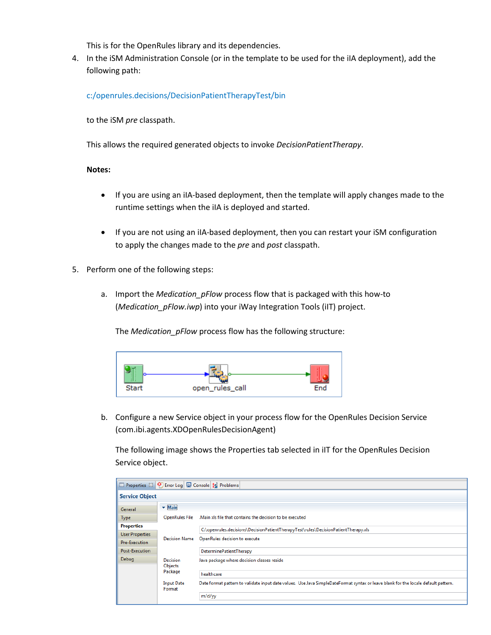This is for the OpenRules library and its dependencies.

4. In the iSM Administration Console (or in the template to be used for the iIA deployment), add the following path:

c:/openrules.decisions/DecisionPatientTherapyTest/bin

to the iSM *pre* classpath.

This allows the required generated objects to invoke *DecisionPatientTherapy*.

#### **Notes:**

- If you are using an iIA-based deployment, then the template will apply changes made to the runtime settings when the iIA is deployed and started.
- If you are not using an iIA-based deployment, then you can restart your iSM configuration to apply the changes made to the *pre* and *post* classpath.
- 5. Perform one of the following steps:
	- a. Import the *Medication\_pFlow* process flow that is packaged with this how-to (*Medication\_pFlow.iwp*) into your iWay Integration Tools (iIT) project.

The *Medication\_pFlow* process flow has the following structure:



b. Configure a new Service object in your process flow for the OpenRules Decision Service (com.ibi.agents.XDOpenRulesDecisionAgent)

The following image shows the Properties tab selected in iIT for the OpenRules Decision Service object.

| □ Properties ※ 9 Error Log □ Console % Problems |                                              |                                                                                                                                    |  |  |  |  |  |
|-------------------------------------------------|----------------------------------------------|------------------------------------------------------------------------------------------------------------------------------------|--|--|--|--|--|
| <b>Service Object</b>                           |                                              |                                                                                                                                    |  |  |  |  |  |
| General                                         | $-$ Main                                     |                                                                                                                                    |  |  |  |  |  |
| <b>Type</b>                                     | <b>OpenRules File</b>                        | Main xls file that contains the decision to be executed                                                                            |  |  |  |  |  |
| <b>Properties</b>                               |                                              | C:\openrules.decisions\DecisionPatientTherapyTest\rules\DecisionPatientTherapy.xls                                                 |  |  |  |  |  |
| <b>User Properties</b><br>Pre-Execution         | <b>Decision Name</b>                         | OpenRules decision to execute                                                                                                      |  |  |  |  |  |
| Post-Execution                                  |                                              | DeterminePatientTherapy                                                                                                            |  |  |  |  |  |
| Debug                                           | <b>Decision</b><br><b>Objects</b><br>Package | Java package where decision classes reside                                                                                         |  |  |  |  |  |
|                                                 |                                              | healthcare                                                                                                                         |  |  |  |  |  |
|                                                 | <b>Input Date</b><br>Format                  | Date format pattern to validate input date values. Use Java SimpleDateFormat syntax or leave blank for the locale default pattern. |  |  |  |  |  |
|                                                 |                                              | m/d/yy                                                                                                                             |  |  |  |  |  |
|                                                 |                                              |                                                                                                                                    |  |  |  |  |  |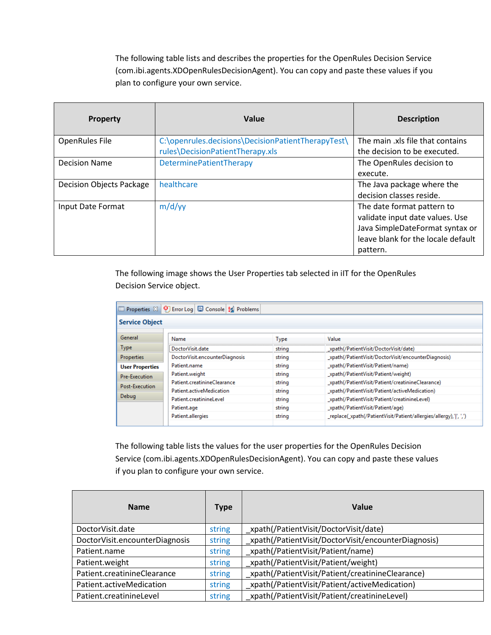The following table lists and describes the properties for the OpenRules Decision Service (com.ibi.agents.XDOpenRulesDecisionAgent). You can copy and paste these values if you plan to configure your own service.

| <b>Property</b>                 | Value                                              | <b>Description</b>                 |
|---------------------------------|----------------------------------------------------|------------------------------------|
| <b>OpenRules File</b>           | C:\openrules.decisions\DecisionPatientTherapyTest\ | The main .xls file that contains   |
|                                 | rules\DecisionPatientTherapy.xls                   | the decision to be executed.       |
| <b>Decision Name</b>            | DeterminePatientTherapy                            | The OpenRules decision to          |
|                                 |                                                    | execute.                           |
| <b>Decision Objects Package</b> | healthcare                                         | The Java package where the         |
|                                 |                                                    | decision classes reside.           |
| Input Date Format               | m/d/yy                                             | The date format pattern to         |
|                                 |                                                    | validate input date values. Use    |
|                                 |                                                    | Java SimpleDateFormat syntax or    |
|                                 |                                                    | leave blank for the locale default |
|                                 |                                                    | pattern.                           |

The following image shows the User Properties tab selected in iIT for the OpenRules Decision Service object.

| □ Properties ※ 9 Error Log   □ Console   2 Problems |                                |             |                                                                   |  |  |  |  |
|-----------------------------------------------------|--------------------------------|-------------|-------------------------------------------------------------------|--|--|--|--|
| <b>Service Object</b>                               |                                |             |                                                                   |  |  |  |  |
|                                                     |                                |             |                                                                   |  |  |  |  |
| General                                             | Name                           | <b>Type</b> | Value                                                             |  |  |  |  |
| <b>Type</b>                                         | DoctorVisit.date               | string      | xpath(/PatientVisit/DoctorVisit/date)                             |  |  |  |  |
| <b>Properties</b>                                   | DoctorVisit.encounterDiagnosis | string      | xpath(/PatientVisit/DoctorVisit/encounterDiagnosis)               |  |  |  |  |
| <b>User Properties</b>                              | Patient.name                   | string      | _xpath(/PatientVisit/Patient/name)                                |  |  |  |  |
| Pre-Execution                                       | Patient.weight                 | string      | xpath(/PatientVisit/Patient/weight)                               |  |  |  |  |
| Post-Execution                                      | Patient.creatinineClearance    | string      | xpath(/PatientVisit/Patient/creatinineClearance)                  |  |  |  |  |
|                                                     | Patient.activeMedication       | string      | _xpath(/PatientVisit/Patient/activeMedication)                    |  |  |  |  |
| Debug                                               | Patient.creatinineLevel        | string      | _xpath(/PatientVisit/Patient/creatinineLevel)                     |  |  |  |  |
|                                                     | Patient.age                    | string      | _xpath(/PatientVisit/Patient/age)                                 |  |  |  |  |
|                                                     | Patient.allergies              | string      | _replace(_xpath(/PatientVisit/Patient/allergies/allergy),' ',',') |  |  |  |  |
|                                                     |                                |             |                                                                   |  |  |  |  |

The following table lists the values for the user properties for the OpenRules Decision Service (com.ibi.agents.XDOpenRulesDecisionAgent). You can copy and paste these values if you plan to configure your own service.

| <b>Name</b>                    | Type   | Value                                               |
|--------------------------------|--------|-----------------------------------------------------|
| DoctorVisit.date               | string | _xpath(/PatientVisit/DoctorVisit/date)              |
| DoctorVisit.encounterDiagnosis | string | xpath(/PatientVisit/DoctorVisit/encounterDiagnosis) |
| Patient.name                   | string | xpath(/PatientVisit/Patient/name)                   |
| Patient.weight                 | string | xpath(/PatientVisit/Patient/weight)                 |
| Patient.creatinineClearance    | string | _xpath(/PatientVisit/Patient/creatinineClearance)   |
| Patient.activeMedication       | string | _xpath(/PatientVisit/Patient/activeMedication)      |
| Patient.creatinineLevel        | string | xpath(/PatientVisit/Patient/creatinineLevel)        |